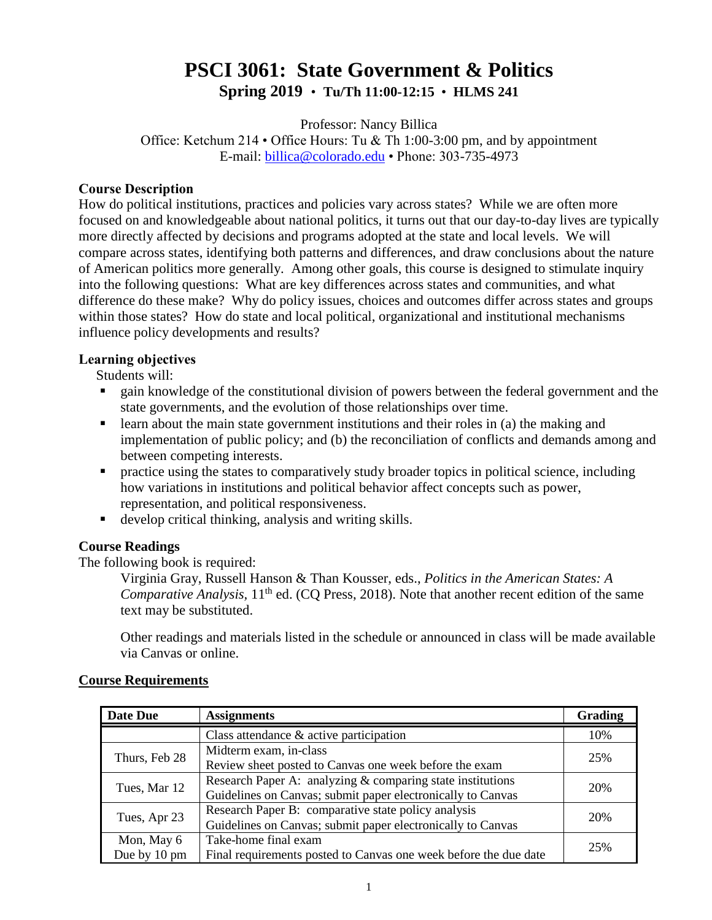# **PSCI 3061: State Government & Politics Spring 2019** • **Tu/Th 11:00-12:15** • **HLMS 241**

Professor: Nancy Billica Office: Ketchum 214 • Office Hours: Tu & Th 1:00-3:00 pm, and by appointment E-mail: [billica@colorado.edu](mailto:billica@colorado.edu) • Phone: 303-735-4973

### **Course Description**

How do political institutions, practices and policies vary across states? While we are often more focused on and knowledgeable about national politics, it turns out that our day-to-day lives are typically more directly affected by decisions and programs adopted at the state and local levels. We will compare across states, identifying both patterns and differences, and draw conclusions about the nature of American politics more generally. Among other goals, this course is designed to stimulate inquiry into the following questions: What are key differences across states and communities, and what difference do these make? Why do policy issues, choices and outcomes differ across states and groups within those states? How do state and local political, organizational and institutional mechanisms influence policy developments and results?

#### **Learning objectives**

Students will:

- gain knowledge of the constitutional division of powers between the federal government and the state governments, and the evolution of those relationships over time.
- learn about the main state government institutions and their roles in (a) the making and implementation of public policy; and (b) the reconciliation of conflicts and demands among and between competing interests.
- **•** practice using the states to comparatively study broader topics in political science, including how variations in institutions and political behavior affect concepts such as power, representation, and political responsiveness.
- develop critical thinking, analysis and writing skills.

# **Course Readings**

The following book is required:

Virginia Gray, Russell Hanson & Than Kousser, eds., *Politics in the American States: A Comparative Analysis,* 11<sup>th</sup> ed. (CQ Press, 2018). Note that another recent edition of the same text may be substituted.

Other readings and materials listed in the schedule or announced in class will be made available via Canvas or online.

| Date Due      | <b>Assignments</b>                                               | Grading |
|---------------|------------------------------------------------------------------|---------|
|               | Class attendance $\&$ active participation                       | 10%     |
| Thurs, Feb 28 | Midterm exam, in-class                                           | 25%     |
|               | Review sheet posted to Canvas one week before the exam           |         |
|               | Research Paper A: analyzing $&$ comparing state institutions     | 20%     |
| Tues, Mar 12  | Guidelines on Canvas; submit paper electronically to Canvas      |         |
|               | Research Paper B: comparative state policy analysis              | 20%     |
| Tues, Apr 23  | Guidelines on Canvas; submit paper electronically to Canvas      |         |
| Mon, May 6    | Take-home final exam                                             | 25%     |
| Due by 10 pm  | Final requirements posted to Canvas one week before the due date |         |

#### **Course Requirements**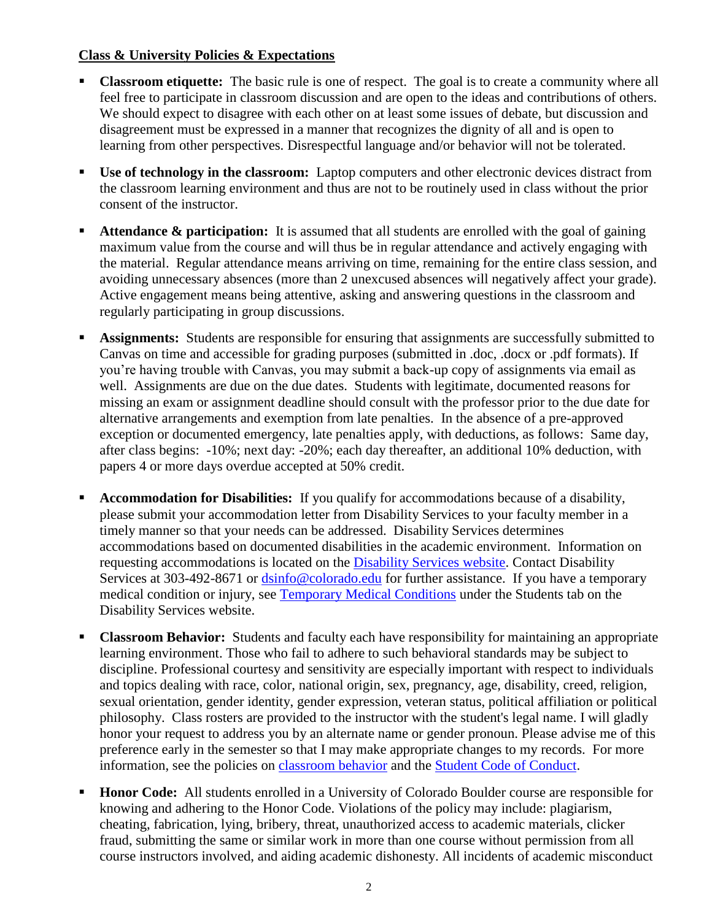# **Class & University Policies & Expectations**

- **Classroom etiquette:** The basic rule is one of respect. The goal is to create a community where all feel free to participate in classroom discussion and are open to the ideas and contributions of others. We should expect to disagree with each other on at least some issues of debate, but discussion and disagreement must be expressed in a manner that recognizes the dignity of all and is open to learning from other perspectives. Disrespectful language and/or behavior will not be tolerated.
- **Use of technology in the classroom:** Laptop computers and other electronic devices distract from the classroom learning environment and thus are not to be routinely used in class without the prior consent of the instructor.
- Attendance & participation: It is assumed that all students are enrolled with the goal of gaining maximum value from the course and will thus be in regular attendance and actively engaging with the material. Regular attendance means arriving on time, remaining for the entire class session, and avoiding unnecessary absences (more than 2 unexcused absences will negatively affect your grade). Active engagement means being attentive, asking and answering questions in the classroom and regularly participating in group discussions.
- **Assignments:** Students are responsible for ensuring that assignments are successfully submitted to Canvas on time and accessible for grading purposes (submitted in .doc, .docx or .pdf formats). If you're having trouble with Canvas, you may submit a back-up copy of assignments via email as well. Assignments are due on the due dates. Students with legitimate, documented reasons for missing an exam or assignment deadline should consult with the professor prior to the due date for alternative arrangements and exemption from late penalties. In the absence of a pre-approved exception or documented emergency, late penalties apply, with deductions, as follows: Same day, after class begins: -10%; next day: -20%; each day thereafter, an additional 10% deduction, with papers 4 or more days overdue accepted at 50% credit.
- **Accommodation for Disabilities:** If you qualify for accommodations because of a disability, please submit your accommodation letter from Disability Services to your faculty member in a timely manner so that your needs can be addressed. Disability Services determines accommodations based on documented disabilities in the academic environment. Information on requesting accommodations is located on the [Disability Services website.](http://www.colorado.edu/disabilityservices/students) Contact Disability Services at 303-492-8671 or [dsinfo@colorado.edu](mailto:dsinfo@colorado.edu) for further assistance. If you have a temporary medical condition or injury, see [Temporary Medical Conditions](http://www.colorado.edu/disabilityservices/students/temporary-medical-conditions) under the Students tab on the Disability Services website.
- **Classroom Behavior:** Students and faculty each have responsibility for maintaining an appropriate learning environment. Those who fail to adhere to such behavioral standards may be subject to discipline. Professional courtesy and sensitivity are especially important with respect to individuals and topics dealing with race, color, national origin, sex, pregnancy, age, disability, creed, religion, sexual orientation, gender identity, gender expression, veteran status, political affiliation or political philosophy. Class rosters are provided to the instructor with the student's legal name. I will gladly honor your request to address you by an alternate name or gender pronoun. Please advise me of this preference early in the semester so that I may make appropriate changes to my records. For more information, see the policies on [classroom behavior](http://www.colorado.edu/policies/student-classroom-and-course-related-behavior) and the [Student Code of Conduct.](http://www.colorado.edu/osccr/)
- **Honor Code:** All students enrolled in a University of Colorado Boulder course are responsible for knowing and adhering to the Honor Code. Violations of the policy may include: plagiarism, cheating, fabrication, lying, bribery, threat, unauthorized access to academic materials, clicker fraud, submitting the same or similar work in more than one course without permission from all course instructors involved, and aiding academic dishonesty. All incidents of academic misconduct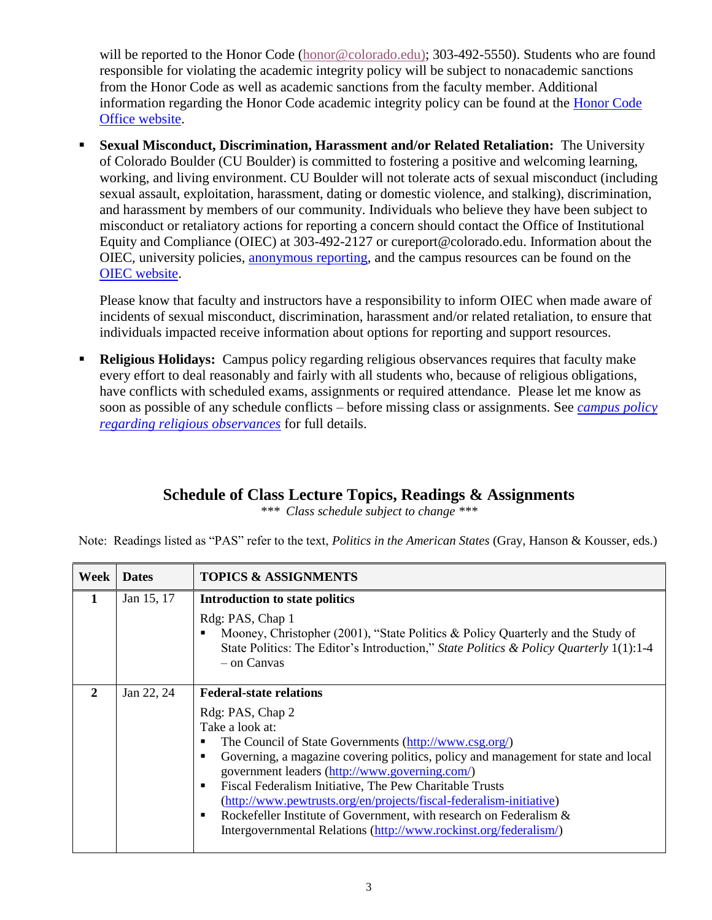will be reported to the Honor Code [\(honor@colorado.edu\)](mailto:honor@colorado.edu); 303-492-5550). Students who are found responsible for violating the academic integrity policy will be subject to nonacademic sanctions from the Honor Code as well as academic sanctions from the faculty member. Additional information regarding the Honor Code academic integrity policy can be found at the [Honor Code](https://www.colorado.edu/osccr/honor-code)  [Office website.](https://www.colorado.edu/osccr/honor-code)

 **Sexual Misconduct, Discrimination, Harassment and/or Related Retaliation:** The University of Colorado Boulder (CU Boulder) is committed to fostering a positive and welcoming learning, working, and living environment. CU Boulder will not tolerate acts of sexual misconduct (including sexual assault, exploitation, harassment, dating or domestic violence, and stalking), discrimination, and harassment by members of our community. Individuals who believe they have been subject to misconduct or retaliatory actions for reporting a concern should contact the Office of Institutional Equity and Compliance (OIEC) at 303-492-2127 or cureport@colorado.edu. Information about the OIEC, university policies, [anonymous reporting,](https://cuboulder.qualtrics.com/jfe/form/SV_0PnqVK4kkIJIZnf) and the campus resources can be found on the [OIEC website.](http://www.colorado.edu/institutionalequity/)

Please know that faculty and instructors have a responsibility to inform OIEC when made aware of incidents of sexual misconduct, discrimination, harassment and/or related retaliation, to ensure that individuals impacted receive information about options for reporting and support resources.

 **Religious Holidays:** Campus policy regarding religious observances requires that faculty make every effort to deal reasonably and fairly with all students who, because of religious obligations, have conflicts with scheduled exams, assignments or required attendance. Please let me know as soon as possible of any schedule conflicts – before missing class or assignments. See *[campus policy](http://www.colorado.edu/policies/observance-religious-holidays-and-absences-classes-andor-exams)  [regarding religious observances](http://www.colorado.edu/policies/observance-religious-holidays-and-absences-classes-andor-exams)* for full details.

# **Schedule of Class Lecture Topics, Readings & Assignments**

*\*\*\* Class schedule subject to change \*\*\**

Note: Readings listed as "PAS" refer to the text, *Politics in the American States* (Gray, Hanson & Kousser, eds.)

| Week         | <b>Dates</b> | <b>TOPICS &amp; ASSIGNMENTS</b>                                                                                                                                                                                                                                                                                                                                                                                                                                                                                                                                                       |
|--------------|--------------|---------------------------------------------------------------------------------------------------------------------------------------------------------------------------------------------------------------------------------------------------------------------------------------------------------------------------------------------------------------------------------------------------------------------------------------------------------------------------------------------------------------------------------------------------------------------------------------|
|              | Jan 15, 17   | Introduction to state politics<br>Rdg: PAS, Chap 1<br>Mooney, Christopher (2001), "State Politics & Policy Quarterly and the Study of<br>State Politics: The Editor's Introduction," State Politics & Policy Quarterly 1(1):1-4<br>$-$ on Canvas                                                                                                                                                                                                                                                                                                                                      |
| $\mathbf{2}$ | Jan 22, 24   | <b>Federal-state relations</b><br>Rdg: PAS, Chap 2<br>Take a look at:<br>The Council of State Governments (http://www.csg.org/)<br>п<br>Governing, a magazine covering politics, policy and management for state and local<br>п<br>government leaders (http://www.governing.com/)<br>Fiscal Federalism Initiative, The Pew Charitable Trusts<br>$\blacksquare$<br>(http://www.pewtrusts.org/en/projects/fiscal-federalism-initiative)<br>Rockefeller Institute of Government, with research on Federalism &<br>п<br>Intergovernmental Relations (http://www.rockinst.org/federalism/) |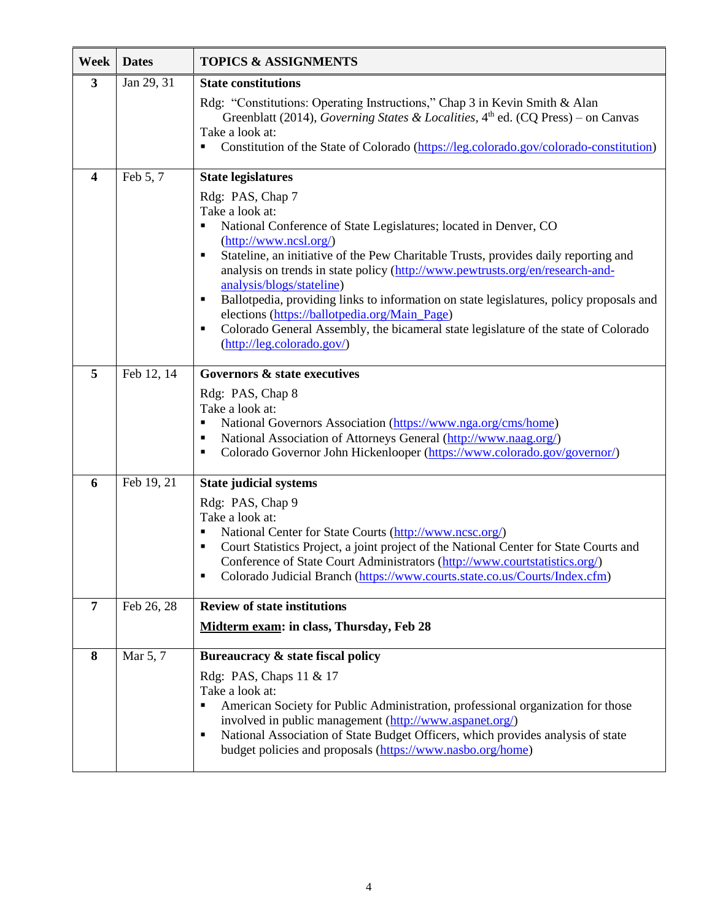| Week                    | <b>Dates</b>          | <b>TOPICS &amp; ASSIGNMENTS</b>                                                                                                                                                                                                                                                                                                                                                                                                                                                                                                                                                                                                 |
|-------------------------|-----------------------|---------------------------------------------------------------------------------------------------------------------------------------------------------------------------------------------------------------------------------------------------------------------------------------------------------------------------------------------------------------------------------------------------------------------------------------------------------------------------------------------------------------------------------------------------------------------------------------------------------------------------------|
| $\mathbf{3}$            | Jan 29, 31            | <b>State constitutions</b>                                                                                                                                                                                                                                                                                                                                                                                                                                                                                                                                                                                                      |
|                         |                       | Rdg: "Constitutions: Operating Instructions," Chap 3 in Kevin Smith & Alan<br>Greenblatt (2014), Governing States & Localities, $4th$ ed. (CQ Press) – on Canvas<br>Take a look at:<br>Constitution of the State of Colorado (https://leg.colorado.gov/colorado-constitution)<br>٠                                                                                                                                                                                                                                                                                                                                              |
| $\overline{\mathbf{4}}$ | Feb 5, 7              | <b>State legislatures</b>                                                                                                                                                                                                                                                                                                                                                                                                                                                                                                                                                                                                       |
|                         |                       | Rdg: PAS, Chap 7<br>Take a look at:<br>National Conference of State Legislatures; located in Denver, CO<br>$(\frac{http://www.ncsl.org/}{$<br>Stateline, an initiative of the Pew Charitable Trusts, provides daily reporting and<br>п<br>analysis on trends in state policy (http://www.pewtrusts.org/en/research-and-<br>analysis/blogs/stateline)<br>Ballotpedia, providing links to information on state legislatures, policy proposals and<br>٠<br>elections (https://ballotpedia.org/Main Page)<br>Colorado General Assembly, the bicameral state legislature of the state of Colorado<br>٠<br>(http://leg.colorado.gov/) |
| 5                       | Feb 12, 14            | Governors & state executives                                                                                                                                                                                                                                                                                                                                                                                                                                                                                                                                                                                                    |
|                         |                       | Rdg: PAS, Chap 8<br>Take a look at:<br>National Governors Association (https://www.nga.org/cms/home)<br>п<br>National Association of Attorneys General (http://www.naag.org/)<br>п<br>Colorado Governor John Hickenlooper (https://www.colorado.gov/governor/)<br>٠                                                                                                                                                                                                                                                                                                                                                             |
| 6                       | Feb 19, 21            | <b>State judicial systems</b>                                                                                                                                                                                                                                                                                                                                                                                                                                                                                                                                                                                                   |
|                         |                       | Rdg: PAS, Chap 9<br>Take a look at:<br>National Center for State Courts (http://www.ncsc.org/)<br>Court Statistics Project, a joint project of the National Center for State Courts and<br>п<br>Conference of State Court Administrators (http://www.courtstatistics.org/)<br>Colorado Judicial Branch (https://www.courts.state.co.us/Courts/Index.cfm)<br>п                                                                                                                                                                                                                                                                   |
| $\overline{7}$          | Feb 26, 28            | <b>Review of state institutions</b>                                                                                                                                                                                                                                                                                                                                                                                                                                                                                                                                                                                             |
|                         |                       | Midterm exam: in class, Thursday, Feb 28                                                                                                                                                                                                                                                                                                                                                                                                                                                                                                                                                                                        |
| 8                       | Mar $\overline{5, 7}$ | Bureaucracy & state fiscal policy<br>Rdg: PAS, Chaps 11 & 17<br>Take a look at:<br>American Society for Public Administration, professional organization for those<br>Ξ<br>involved in public management (http://www.aspanet.org/)<br>National Association of State Budget Officers, which provides analysis of state<br>п<br>budget policies and proposals (https://www.nasbo.org/home)                                                                                                                                                                                                                                        |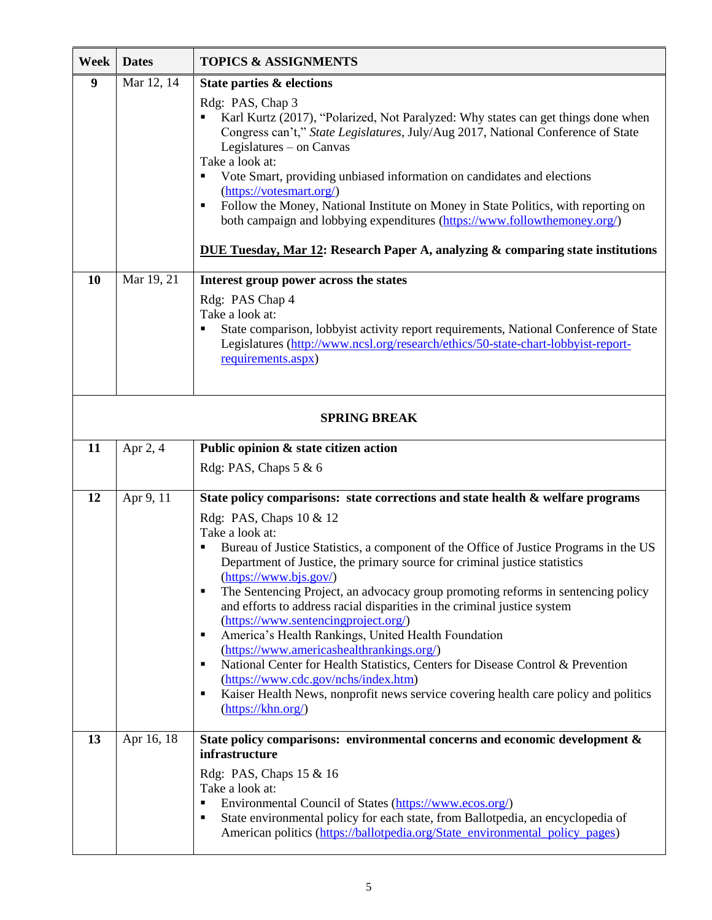| Week                | <b>Dates</b> | <b>TOPICS &amp; ASSIGNMENTS</b>                                                                                                                                                                                                                                                                                                                                                                                                                                                                                                                                                                                                                                                                                                                                                                                                                                                                                     |  |
|---------------------|--------------|---------------------------------------------------------------------------------------------------------------------------------------------------------------------------------------------------------------------------------------------------------------------------------------------------------------------------------------------------------------------------------------------------------------------------------------------------------------------------------------------------------------------------------------------------------------------------------------------------------------------------------------------------------------------------------------------------------------------------------------------------------------------------------------------------------------------------------------------------------------------------------------------------------------------|--|
| $\boldsymbol{9}$    | Mar 12, 14   | State parties & elections<br>Rdg: PAS, Chap 3<br>Karl Kurtz (2017), "Polarized, Not Paralyzed: Why states can get things done when<br>Congress can't," State Legislatures, July/Aug 2017, National Conference of State<br>Legislatures – on Canvas<br>Take a look at:<br>Vote Smart, providing unbiased information on candidates and elections<br>٠<br>(https://votesmart.org/)<br>Follow the Money, National Institute on Money in State Politics, with reporting on<br>$\blacksquare$<br>both campaign and lobbying expenditures (https://www.followthemoney.org/)<br><b>DUE Tuesday, Mar 12: Research Paper A, analyzing &amp; comparing state institutions</b>                                                                                                                                                                                                                                                 |  |
| 10                  | Mar 19, 21   | Interest group power across the states<br>Rdg: PAS Chap 4<br>Take a look at:<br>State comparison, lobbyist activity report requirements, National Conference of State<br>Legislatures (http://www.ncsl.org/research/ethics/50-state-chart-lobbyist-report-<br>requirements.aspx)                                                                                                                                                                                                                                                                                                                                                                                                                                                                                                                                                                                                                                    |  |
| <b>SPRING BREAK</b> |              |                                                                                                                                                                                                                                                                                                                                                                                                                                                                                                                                                                                                                                                                                                                                                                                                                                                                                                                     |  |
| 11                  | Apr 2, 4     | Public opinion & state citizen action                                                                                                                                                                                                                                                                                                                                                                                                                                                                                                                                                                                                                                                                                                                                                                                                                                                                               |  |
|                     |              | Rdg: PAS, Chaps 5 & 6                                                                                                                                                                                                                                                                                                                                                                                                                                                                                                                                                                                                                                                                                                                                                                                                                                                                                               |  |
| 12                  | Apr 9, 11    | State policy comparisons: state corrections and state health & welfare programs<br>Rdg: PAS, Chaps 10 & 12<br>Take a look at:<br>Bureau of Justice Statistics, a component of the Office of Justice Programs in the US<br>Department of Justice, the primary source for criminal justice statistics<br>$(\underline{https://www.bjs.gov/})$<br>The Sentencing Project, an advocacy group promoting reforms in sentencing policy<br>п<br>and efforts to address racial disparities in the criminal justice system<br>(https://www.sentencingproject.org/)<br>America's Health Rankings, United Health Foundation<br>п<br>(https://www.americashealthrankings.org/)<br>National Center for Health Statistics, Centers for Disease Control & Prevention<br>п<br>(https://www.cdc.gov/nchs/index.htm)<br>Kaiser Health News, nonprofit news service covering health care policy and politics<br>п<br>(https://khn.org/) |  |
| 13                  | Apr 16, 18   | State policy comparisons: environmental concerns and economic development &<br>infrastructure<br>Rdg: PAS, Chaps 15 & 16<br>Take a look at:<br>Environmental Council of States (https://www.ecos.org/)<br>$\blacksquare$<br>State environmental policy for each state, from Ballotpedia, an encyclopedia of<br>п<br>American politics (https://ballotpedia.org/State_environmental_policy_pages)                                                                                                                                                                                                                                                                                                                                                                                                                                                                                                                    |  |